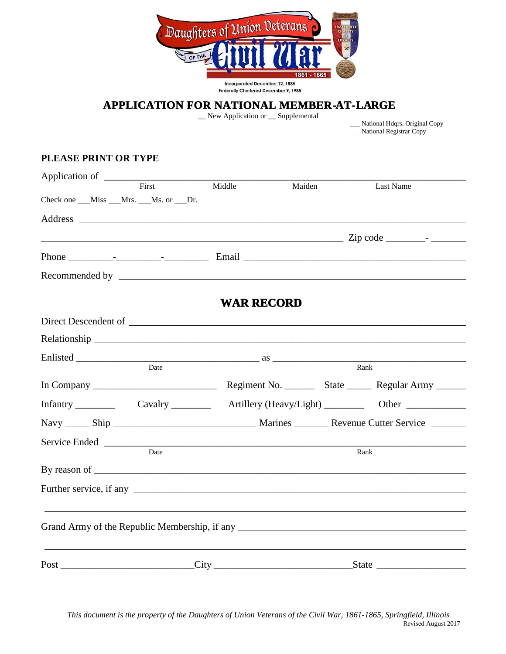

## **APPLICATION FOR NATIONAL MEMBERATLARGE**

\_\_ New Application or \_\_ Supplemental

 \_\_\_ National Hdqrs. Original Copy National Registrar Copy

## **PLEASE PRINT OR TYPE**

| Application of |                                            |                                  |        |                                                                |
|----------------|--------------------------------------------|----------------------------------|--------|----------------------------------------------------------------|
|                | First                                      | Middle                           | Maiden | Last Name                                                      |
|                | Check one ___Miss ___Mrs. ___Ms. or ___Dr. |                                  |        |                                                                |
|                |                                            |                                  |        |                                                                |
|                |                                            |                                  |        |                                                                |
|                |                                            |                                  |        |                                                                |
|                |                                            |                                  |        |                                                                |
|                |                                            |                                  |        |                                                                |
|                |                                            | <b>WAR RECORD</b>                |        |                                                                |
|                |                                            |                                  |        |                                                                |
|                |                                            |                                  |        |                                                                |
| Enlisted       |                                            |                                  |        |                                                                |
|                | Date                                       |                                  |        | Rank                                                           |
|                |                                            |                                  |        | Regiment No. __________ State __________ Regular Army ________ |
|                |                                            |                                  |        |                                                                |
|                |                                            |                                  |        |                                                                |
|                |                                            | Service Ended News Service Ended |        |                                                                |
|                | Date                                       |                                  |        | Rank                                                           |
|                |                                            |                                  |        |                                                                |
|                |                                            |                                  |        |                                                                |
|                |                                            |                                  |        |                                                                |
|                |                                            |                                  |        |                                                                |
|                |                                            |                                  |        |                                                                |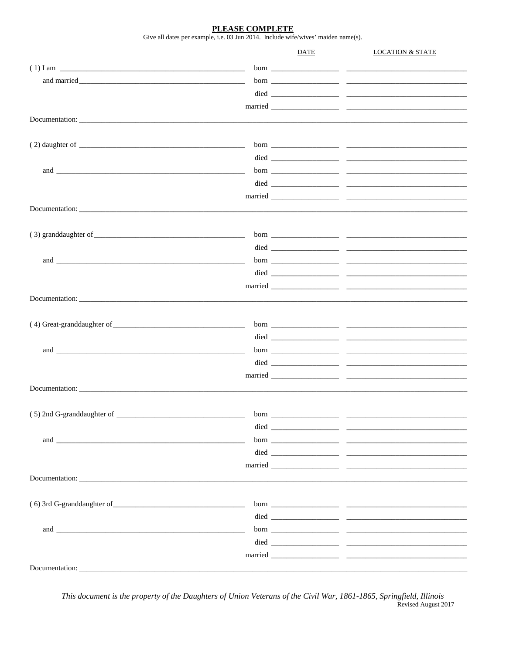PLEASE COMPLETE

Give all dates per example, i.e. 03 Jun 2014. Include wife/wives' maiden name(s).

|                              |      | DATE | <b>LOCATION &amp; STATE</b> |
|------------------------------|------|------|-----------------------------|
|                              |      |      |                             |
|                              |      |      |                             |
|                              |      |      |                             |
|                              |      |      |                             |
| Documentation:               |      |      |                             |
|                              |      |      |                             |
|                              |      |      |                             |
|                              |      |      |                             |
|                              |      |      |                             |
|                              |      |      |                             |
|                              |      |      |                             |
|                              |      |      |                             |
|                              |      |      |                             |
|                              |      |      |                             |
|                              |      |      |                             |
|                              |      |      |                             |
|                              |      |      |                             |
|                              |      |      |                             |
|                              |      |      |                             |
|                              |      |      |                             |
|                              |      |      |                             |
|                              |      |      |                             |
|                              |      |      |                             |
|                              |      |      |                             |
|                              |      |      |                             |
|                              |      |      |                             |
|                              |      |      |                             |
| (5) 2nd G-granddaughter of _ | born |      |                             |
|                              |      |      |                             |
|                              |      |      |                             |
|                              |      |      |                             |
|                              |      |      |                             |
| Documentation:               |      |      |                             |
|                              |      |      |                             |
|                              |      |      |                             |
|                              |      |      |                             |
|                              |      |      |                             |
|                              |      |      |                             |
|                              |      |      |                             |
| Documentation:               |      |      |                             |

This document is the property of the Daughters of Union Veterans of the Civil War, 1861-1865, Springfield, Illinois Revised August 2017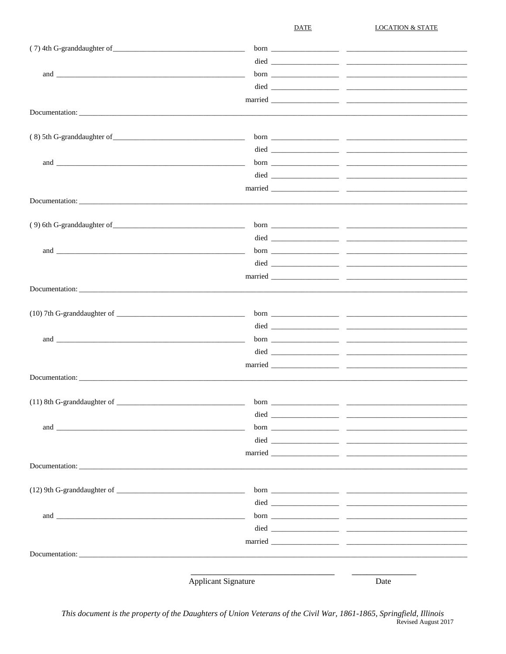**DATE** 

**LOCATION & STATE** 

| and the contract of the contract of the contract of the contract of the contract of the contract of the contract of the contract of the contract of the contract of the contract of the contract of the contract of the contra |                            |      |  |
|--------------------------------------------------------------------------------------------------------------------------------------------------------------------------------------------------------------------------------|----------------------------|------|--|
|                                                                                                                                                                                                                                |                            |      |  |
|                                                                                                                                                                                                                                |                            |      |  |
|                                                                                                                                                                                                                                |                            |      |  |
|                                                                                                                                                                                                                                |                            |      |  |
|                                                                                                                                                                                                                                |                            |      |  |
|                                                                                                                                                                                                                                |                            |      |  |
|                                                                                                                                                                                                                                |                            |      |  |
|                                                                                                                                                                                                                                |                            |      |  |
|                                                                                                                                                                                                                                |                            |      |  |
|                                                                                                                                                                                                                                |                            |      |  |
|                                                                                                                                                                                                                                |                            |      |  |
|                                                                                                                                                                                                                                |                            |      |  |
|                                                                                                                                                                                                                                |                            |      |  |
|                                                                                                                                                                                                                                |                            |      |  |
|                                                                                                                                                                                                                                |                            |      |  |
|                                                                                                                                                                                                                                |                            |      |  |
| Documentation:                                                                                                                                                                                                                 |                            |      |  |
|                                                                                                                                                                                                                                |                            |      |  |
|                                                                                                                                                                                                                                |                            |      |  |
|                                                                                                                                                                                                                                |                            |      |  |
|                                                                                                                                                                                                                                |                            |      |  |
|                                                                                                                                                                                                                                |                            |      |  |
|                                                                                                                                                                                                                                |                            |      |  |
|                                                                                                                                                                                                                                | Documentation:             |      |  |
|                                                                                                                                                                                                                                |                            |      |  |
|                                                                                                                                                                                                                                | <b>Applicant Signature</b> | Date |  |

This document is the property of the Daughters of Union Veterans of the Civil War, 1861-1865, Springfield, Illinois Revised August 2017